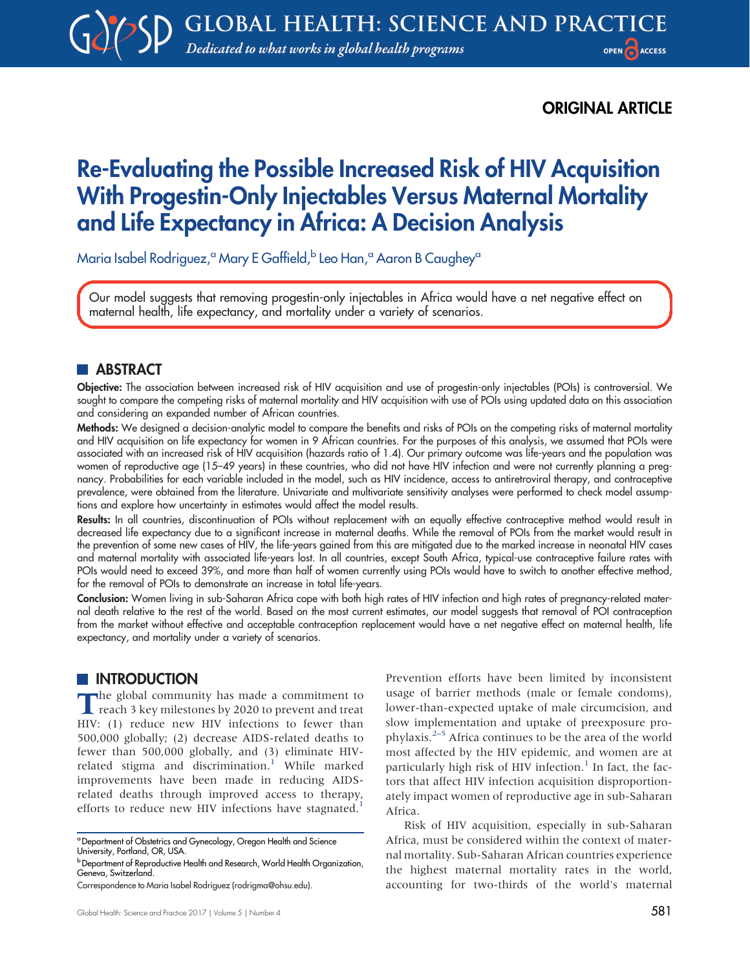ORIGINAL ARTICLE

# Re-Evaluating the Possible Increased Risk of HIV Acquisition With Progestin-Only Injectables Versus Maternal Mortality and Life Expectancy in Africa: A Decision Analysis

Maria Isabel Rodriguez,<sup>a</sup> Mary E Gaffield,<sup>b</sup> Leo Han,<sup>a</sup> Aaron B Caughey<sup>a</sup>

Our model suggests that removing progestin-only injectables in Africa would have a net negative effect on maternal health, life expectancy, and mortality under a variety of scenarios.

## **ABSTRACT**

Objective: The association between increased risk of HIV acquisition and use of progestin-only injectables (POIs) is controversial. We sought to compare the competing risks of maternal mortality and HIV acquisition with use of POIs using updated data on this association and considering an expanded number of African countries.

Methods: We designed a decision-analytic model to compare the benefits and risks of POIs on the competing risks of maternal mortality and HIV acquisition on life expectancy for women in 9 African countries. For the purposes of this analysis, we assumed that POIs were associated with an increased risk of HIV acquisition (hazards ratio of 1.4). Our primary outcome was life-years and the population was women of reproductive age (15–49 years) in these countries, who did not have HIV infection and were not currently planning a pregnancy. Probabilities for each variable included in the model, such as HIV incidence, access to antiretroviral therapy, and contraceptive prevalence, were obtained from the literature. Univariate and multivariate sensitivity analyses were performed to check model assumptions and explore how uncertainty in estimates would affect the model results.

Results: In all countries, discontinuation of POIs without replacement with an equally effective contraceptive method would result in decreased life expectancy due to a significant increase in maternal deaths. While the removal of POIs from the market would result in the prevention of some new cases of HIV, the life-years gained from this are mitigated due to the marked increase in neonatal HIV cases and maternal mortality with associated life-years lost. In all countries, except South Africa, typical-use contraceptive failure rates with POIs would need to exceed 39%, and more than half of women currently using POIs would have to switch to another effective method, for the removal of POIs to demonstrate an increase in total life-years.

Conclusion: Women living in sub-Saharan Africa cope with both high rates of HIV infection and high rates of pregnancy-related maternal death relative to the rest of the world. Based on the most current estimates, our model suggests that removal of POI contraception from the market without effective and acceptable contraception replacement would have a net negative effect on maternal health, life expectancy, and mortality under a variety of scenarios.

## **INTRODUCTION**

The global community has made a commitment to reach 3 key milestones by 2020 to prevent and treat HIV: (1) reduce new HIV infections to fewer than 500,000 globally; (2) decrease AIDS-related deaths to fewer than 500,000 globally, and (3) eliminate HIV-related stigma and discrimination.<sup>[1](#page-9-0)</sup> While marked improvements have been made in reducing AIDSrelated deaths through improved access to therapy, efforts to reduce new HIV infections have stagnated.<sup>[1](#page-9-0)</sup>

Prevention efforts have been limited by inconsistent usage of barrier methods (male or female condoms), lower-than-expected uptake of male circumcision, and slow implementation and uptake of preexposure prophylaxis. $2-5$  $2-5$  $2-5$  Africa continues to be the area of the world most affected by the HIV epidemic, and women are at particularly high risk of HIV infection.<sup>1</sup> In fact, the factors that affect HIV infection acquisition disproportionately impact women of reproductive age in sub-Saharan Africa.

Risk of HIV acquisition, especially in sub-Saharan Africa, must be considered within the context of maternal mortality. Sub-Saharan African countries experience the highest maternal mortality rates in the world, accounting for two-thirds of the world's maternal

<sup>&</sup>lt;sup>a</sup> Department of Obstetrics and Gynecology, Oregon Health and Science University, Portland, OR, USA.

**b** Department of Reproductive Health and Research, World Health Organization, Geneva, Switzerland.

Correspondence to Maria Isabel Rodriguez ([rodrigma@ohsu.edu](mailto:rodrigma@ohsu.edu)).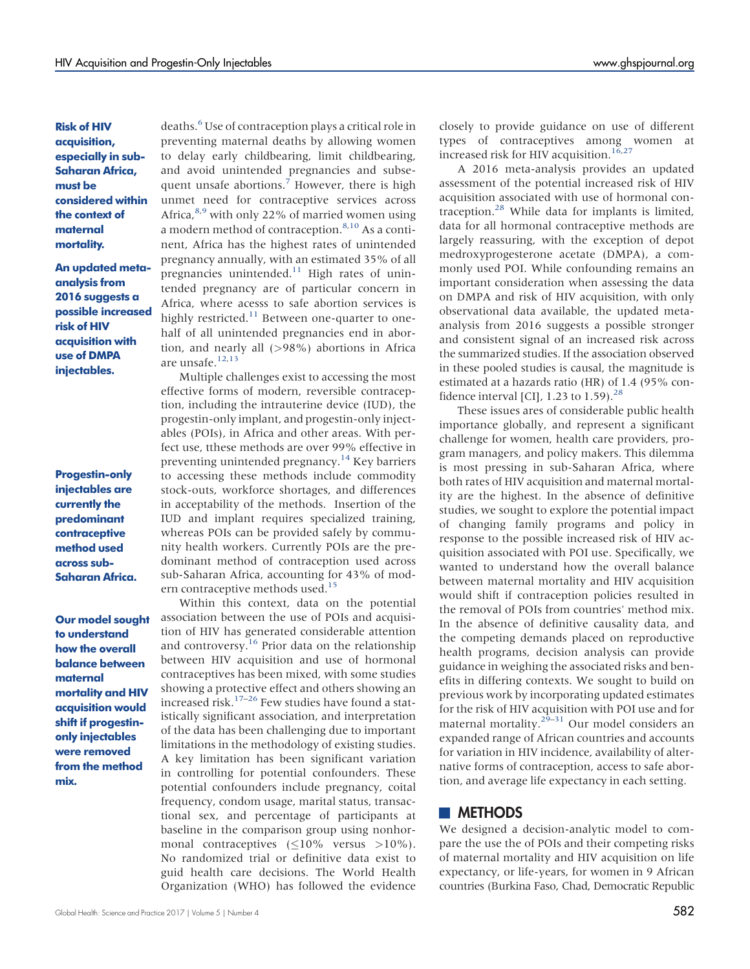Risk of HIV acquisition, especially in sub-Saharan Africa, must be considered within the context of maternal mortality.

An updated metaanalysis from 2016 suggests a possible increased risk of HIV acquisition with use of DMPA injectables.

Progestin-only injectables are currently the predominant contraceptive method used across sub-Saharan Africa.

Our model sought to understand how the overall balance between maternal mortality and HIV acquisition would shift if progestinonly injectables were removed from the method mix.

deaths.<sup>[6](#page-9-3)</sup> Use of contraception plays a critical role in preventing maternal deaths by allowing women to delay early childbearing, limit childbearing, and avoid unintended pregnancies and subse-quent unsafe abortions.<sup>[7](#page-9-4)</sup> However, there is high unmet need for contraceptive services across Africa, $8.9$  with only 22% of married women using a modern method of contraception. $8,10$  $8,10$  As a continent, Africa has the highest rates of unintended pregnancy annually, with an estimated 35% of all pregnancies unintended.<sup>[11](#page-9-8)</sup> High rates of unintended pregnancy are of particular concern in Africa, where acesss to safe abortion services is highly restricted. $^{11}$  Between one-quarter to onehalf of all unintended pregnancies end in abortion, and nearly all (>98%) abortions in Africa are unsafe. $12,13$  $12,13$ 

Multiple challenges exist to accessing the most effective forms of modern, reversible contraception, including the intrauterine device (IUD), the progestin-only implant, and progestin-only injectables (POIs), in Africa and other areas. With perfect use, tthese methods are over 99% effective in preventing unintended pregnancy.<sup>[14](#page-9-11)</sup> Key barriers to accessing these methods include commodity stock-outs, workforce shortages, and differences in acceptability of the methods. Insertion of the IUD and implant requires specialized training, whereas POIs can be provided safely by community health workers. Currently POIs are the predominant method of contraception used across sub-Saharan Africa, accounting for 43% of mod-ern contraceptive methods used.<sup>[15](#page-9-12)</sup>

Within this context, data on the potential association between the use of POIs and acquisition of HIV has generated considerable attention and controversy.<sup>[16](#page-9-13)</sup> Prior data on the relationship between HIV acquisition and use of hormonal contraceptives has been mixed, with some studies showing a protective effect and others showing an increased risk. $17-26$  $17-26$  $17-26$  Few studies have found a statistically significant association, and interpretation of the data has been challenging due to important limitations in the methodology of existing studies. A key limitation has been significant variation in controlling for potential confounders. These potential confounders include pregnancy, coital frequency, condom usage, marital status, transactional sex, and percentage of participants at baseline in the comparison group using nonhormonal contraceptives  $(510\% \text{ versus } >10\%).$ No randomized trial or definitive data exist to guid health care decisions. The World Health Organization (WHO) has followed the evidence

closely to provide guidance on use of different types of contraceptives among women at increased risk for HIV acquisition.<sup>16,[27](#page-10-1)</sup>

A 2016 meta-analysis provides an updated assessment of the potential increased risk of HIV acquisition associated with use of hormonal contraception[.28](#page-10-2) While data for implants is limited, data for all hormonal contraceptive methods are largely reassuring, with the exception of depot medroxyprogesterone acetate (DMPA), a commonly used POI. While confounding remains an important consideration when assessing the data on DMPA and risk of HIV acquisition, with only observational data available, the updated metaanalysis from 2016 suggests a possible stronger and consistent signal of an increased risk across the summarized studies. If the association observed in these pooled studies is causal, the magnitude is estimated at a hazards ratio (HR) of 1.4 (95% con-fidence interval [CI], 1.23 to 1.59).<sup>[28](#page-10-2)</sup>

These issues ares of considerable public health importance globally, and represent a significant challenge for women, health care providers, program managers, and policy makers. This dilemma is most pressing in sub-Saharan Africa, where both rates of HIV acquisition and maternal mortality are the highest. In the absence of definitive studies, we sought to explore the potential impact of changing family programs and policy in response to the possible increased risk of HIV acquisition associated with POI use. Specifically, we wanted to understand how the overall balance between maternal mortality and HIV acquisition would shift if contraception policies resulted in the removal of POIs from countries' method mix. In the absence of definitive causality data, and the competing demands placed on reproductive health programs, decision analysis can provide guidance in weighing the associated risks and benefits in differing contexts. We sought to build on previous work by incorporating updated estimates for the risk of HIV acquisition with POI use and for maternal mortality.<sup>[29](#page-10-3)–[31](#page-10-4)</sup> Our model considers an expanded range of African countries and accounts for variation in HIV incidence, availability of alternative forms of contraception, access to safe abortion, and average life expectancy in each setting.

## **METHODS**

We designed a decision-analytic model to compare the use the of POIs and their competing risks of maternal mortality and HIV acquisition on life expectancy, or life-years, for women in 9 African countries (Burkina Faso, Chad, Democratic Republic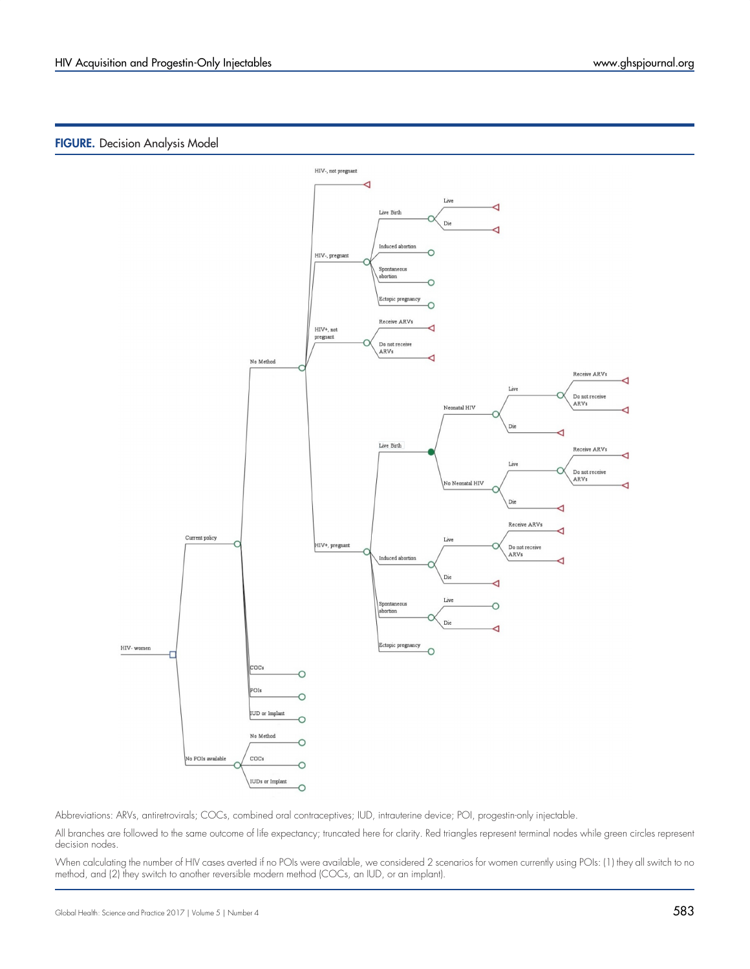## <span id="page-2-0"></span>FIGURE. Decision Analysis Model



Abbreviations: ARVs, antiretrovirals; COCs, combined oral contraceptives; IUD, intrauterine device; POI, progestin-only injectable.

All branches are followed to the same outcome of life expectancy; truncated here for clarity. Red triangles represent terminal nodes while green circles represent decision nodes.

When calculating the number of HIV cases averted if no POIs were available, we considered 2 scenarios for women currently using POIs: (1) they all switch to no method, and (2) they switch to another reversible modern method (COCs, an IUD, or an implant).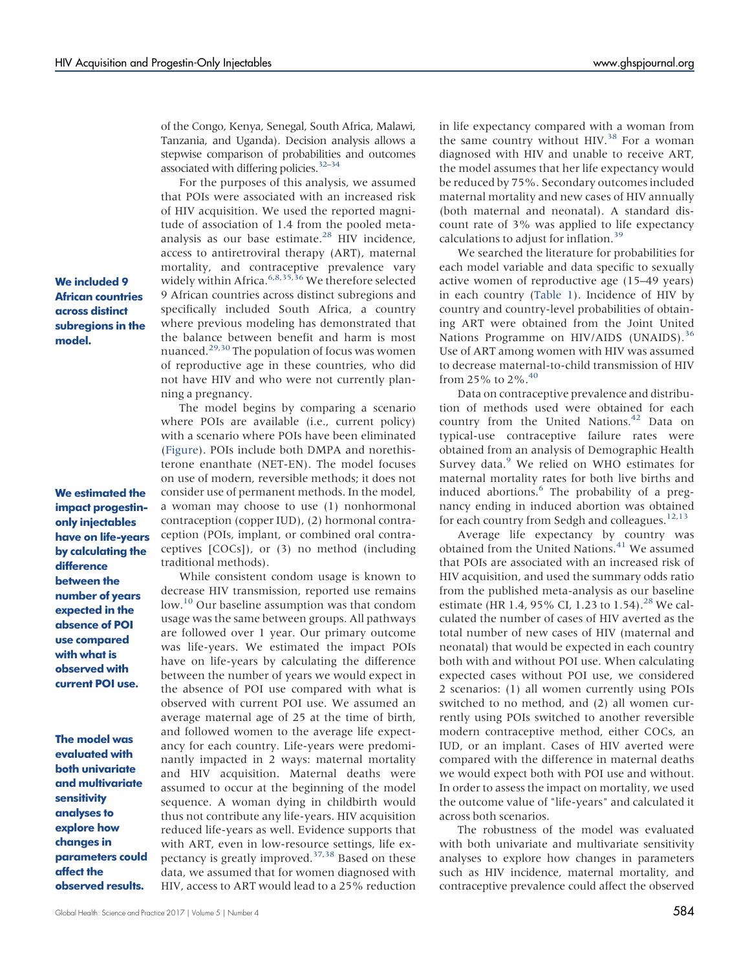of the Congo, Kenya, Senegal, South Africa, Malawi, Tanzania, and Uganda). Decision analysis allows a stepwise comparison of probabilities and outcomes associated with differing policies.  $32-34$  $32-34$ 

For the purposes of this analysis, we assumed that POIs were associated with an increased risk of HIV acquisition. We used the reported magnitude of association of 1.4 from the pooled metaanalysis as our base estimate. $^{28}$  HIV incidence, access to antiretroviral therapy (ART), maternal mortality, and contraceptive prevalence vary widely within Africa.<sup>[6,](#page-9-3)[8](#page-9-5)[,35](#page-10-7)[,36](#page-10-8)</sup> We therefore selected 9 African countries across distinct subregions and specifically included South Africa, a country where previous modeling has demonstrated that the balance between benefit and harm is most nuanced.[29](#page-10-3)[,30](#page-10-9) The population of focus was women of reproductive age in these countries, who did not have HIV and who were not currently planning a pregnancy.

The model begins by comparing a scenario where POIs are available (i.e., current policy) with a scenario where POIs have been eliminated [\(Figure\)](#page-2-0). POIs include both DMPA and norethisterone enanthate (NET-EN). The model focuses on use of modern, reversible methods; it does not consider use of permanent methods. In the model, a woman may choose to use (1) nonhormonal contraception (copper IUD), (2) hormonal contraception (POIs, implant, or combined oral contraceptives [COCs]), or (3) no method (including traditional methods).

While consistent condom usage is known to decrease HIV transmission, reported use remains low.[10](#page-9-7) Our baseline assumption was that condom usage was the same between groups. All pathways are followed over 1 year. Our primary outcome was life-years. We estimated the impact POIs have on life-years by calculating the difference between the number of years we would expect in the absence of POI use compared with what is observed with current POI use. We assumed an average maternal age of 25 at the time of birth, and followed women to the average life expectancy for each country. Life-years were predominantly impacted in 2 ways: maternal mortality and HIV acquisition. Maternal deaths were assumed to occur at the beginning of the model sequence. A woman dying in childbirth would thus not contribute any life-years. HIV acquisition reduced life-years as well. Evidence supports that with ART, even in low-resource settings, life expectancy is greatly improved.[37](#page-10-10)[,38](#page-10-11) Based on these data, we assumed that for women diagnosed with HIV, access to ART would lead to a 25% reduction

diagnosed with HIV and unable to receive ART, the model assumes that her life expectancy would be reduced by 75%. Secondary outcomes included maternal mortality and new cases of HIV annually (both maternal and neonatal). A standard discount rate of 3% was applied to life expectancy calculations to adjust for inflation.<sup>[39](#page-10-12)</sup> We searched the literature for probabilities for each model variable and data specific to sexually

active women of reproductive age (15–49 years) in each country [\(Table 1](#page-4-0)). Incidence of HIV by country and country-level probabilities of obtaining ART were obtained from the Joint United Nations Programme on HIV/AIDS (UNAIDS).<sup>[36](#page-10-8)</sup> Use of ART among women with HIV was assumed to decrease maternal-to-child transmission of HIV from 25% to  $2\%$ .<sup>[40](#page-10-13)</sup>

in life expectancy compared with a woman from the same country without  $HIV.^{38}$  $HIV.^{38}$  $HIV.^{38}$  For a woman

Data on contraceptive prevalence and distribution of methods used were obtained for each country from the United Nations.<sup>[42](#page-10-14)</sup> Data on typical-use contraceptive failure rates were obtained from an analysis of Demographic Health Survey data.<sup>9</sup> We relied on WHO estimates for maternal mortality rates for both live births and induced abortions.<sup>[6](#page-9-3)</sup> The probability of a pregnancy ending in induced abortion was obtained for each country from Sedgh and colleagues.<sup>[12](#page-9-9)[,13](#page-9-10)</sup>

Average life expectancy by country was obtained from the United Nations.<sup>[41](#page-10-15)</sup> We assumed that POIs are associated with an increased risk of HIV acquisition, and used the summary odds ratio from the published meta-analysis as our baseline estimate (HR 1.4, 95% CI, 1.23 to 1.54).<sup>[28](#page-10-2)</sup> We calculated the number of cases of HIV averted as the total number of new cases of HIV (maternal and neonatal) that would be expected in each country both with and without POI use. When calculating expected cases without POI use, we considered 2 scenarios: (1) all women currently using POIs switched to no method, and (2) all women currently using POIs switched to another reversible modern contraceptive method, either COCs, an IUD, or an implant. Cases of HIV averted were compared with the difference in maternal deaths we would expect both with POI use and without. In order to assess the impact on mortality, we used the outcome value of "life-years" and calculated it across both scenarios.

The robustness of the model was evaluated with both univariate and multivariate sensitivity analyses to explore how changes in parameters such as HIV incidence, maternal mortality, and contraceptive prevalence could affect the observed

We included 9 African countries across distinct subregions in the model.

We estimated the impact progestinonly injectables have on life-years by calculating the difference between the number of years expected in the absence of POI use compared with what is observed with current POI use.

The model was evaluated with both univariate and multivariate sensitivity analyses to explore how changes in parameters could affect the observed results.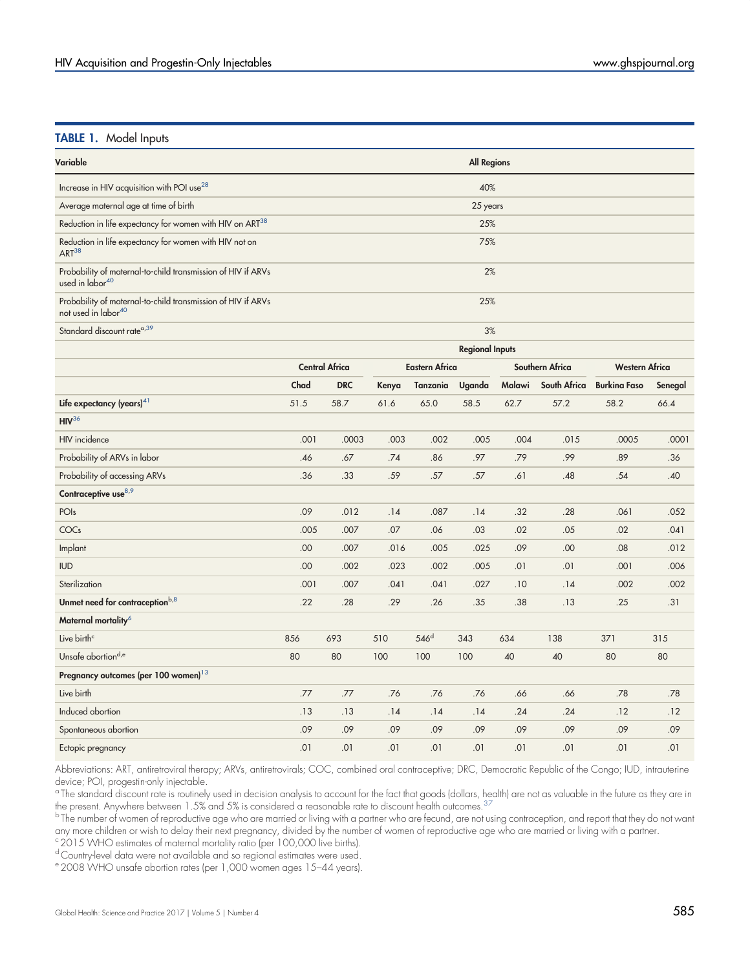### <span id="page-4-0"></span>TABLE 1. Model Inputs

| Variable                                                                                        | <b>All Regions</b> |                       |       |                       |                        |        |                 |                       |         |
|-------------------------------------------------------------------------------------------------|--------------------|-----------------------|-------|-----------------------|------------------------|--------|-----------------|-----------------------|---------|
| Increase in HIV acquisition with POI use <sup>28</sup>                                          |                    |                       |       |                       | 40%                    |        |                 |                       |         |
| Average maternal age at time of birth                                                           | 25 years           |                       |       |                       |                        |        |                 |                       |         |
| Reduction in life expectancy for women with HIV on ART <sup>38</sup>                            | 25%                |                       |       |                       |                        |        |                 |                       |         |
| Reduction in life expectancy for women with HIV not on<br>$ART^{38}$                            | 75%                |                       |       |                       |                        |        |                 |                       |         |
| Probability of maternal-to-child transmission of HIV if ARVs<br>used in labor <sup>40</sup>     | 2%                 |                       |       |                       |                        |        |                 |                       |         |
| Probability of maternal-to-child transmission of HIV if ARVs<br>not used in labor <sup>40</sup> | 25%                |                       |       |                       |                        |        |                 |                       |         |
| Standard discount rate <sup>a,39</sup>                                                          | 3%                 |                       |       |                       |                        |        |                 |                       |         |
|                                                                                                 |                    |                       |       |                       | <b>Regional Inputs</b> |        |                 |                       |         |
|                                                                                                 |                    | <b>Central Africa</b> |       | <b>Eastern Africa</b> |                        |        | Southern Africa | <b>Western Africa</b> |         |
|                                                                                                 | Chad               | <b>DRC</b>            | Kenya | Tanzania              | Uganda                 | Malawi | South Africa    | <b>Burkina Faso</b>   | Senegal |
| Life expectancy (years) $41$                                                                    | 51.5               | 58.7                  | 61.6  | 65.0                  | 58.5                   | 62.7   | 57.2            | 58.2                  | 66.4    |
| HIV <sup>36</sup>                                                                               |                    |                       |       |                       |                        |        |                 |                       |         |
| <b>HIV</b> incidence                                                                            | .001               | .0003                 | .003  | .002                  | .005                   | .004   | .015            | .0005                 | .0001   |
| Probability of ARVs in labor                                                                    | .46                | .67                   | .74   | .86                   | .97                    | .79    | .99             | .89                   | .36     |
| Probability of accessing ARVs                                                                   | .36                | .33                   | .59   | .57                   | .57                    | .61    | .48             | .54                   | .40     |
| Contraceptive use $8,9$                                                                         |                    |                       |       |                       |                        |        |                 |                       |         |
| POIs                                                                                            | .09                | .012                  | .14   | .087                  | .14                    | .32    | .28             | .061                  | .052    |
| COCs                                                                                            | .005               | .007                  | .07   | .06                   | .03                    | .02    | .05             | .02                   | .041    |
| Implant                                                                                         | .00                | .007                  | .016  | .005                  | .025                   | .09    | .00             | .08                   | .012    |
| <b>IUD</b>                                                                                      | .00                | .002                  | .023  | .002                  | .005                   | .01    | .01             | .001                  | .006    |
| Sterilization                                                                                   | .001               | .007                  | .041  | .041                  | .027                   | .10    | .14             | .002                  | .002    |
| Unmet need for contraception <sup>b,8</sup>                                                     | .22                | .28                   | .29   | .26                   | .35                    | .38    | .13             | .25                   | .31     |
| Maternal mortality <sup>6</sup>                                                                 |                    |                       |       |                       |                        |        |                 |                       |         |
| Live birth <sup>c</sup>                                                                         | 856                | 693                   | 510   | 546 <sup>d</sup>      | 343                    | 634    | 138             | 371                   | 315     |
| Unsafe abortion <sup>d,e</sup>                                                                  | 80                 | 80                    | 100   | 100                   | 100                    | 40     | 40              | 80                    | 80      |
| Pregnancy outcomes (per 100 women) <sup>13</sup>                                                |                    |                       |       |                       |                        |        |                 |                       |         |
| Live birth                                                                                      | .77                | .77                   | .76   | .76                   | .76                    | .66    | .66             | .78                   | .78     |
| Induced abortion                                                                                | .13                | .13                   | .14   | .14                   | .14                    | .24    | .24             | .12                   | .12     |
| Spontaneous abortion                                                                            | .09                | .09                   | .09   | .09                   | .09                    | .09    | .09             | .09                   | .09     |
| Ectopic pregnancy                                                                               | .01                | .01                   | .01   | .01                   | .01                    | .01    | .01             | .01                   | .01     |

Abbreviations: ART, antiretroviral therapy; ARVs, antiretrovirals; COC, combined oral contraceptive; DRC, Democratic Republic of the Congo; IUD, intrauterine device; POI, progestin-only injectable.

<sup>a</sup> The standard discount rate is routinely used in decision analysis to account for the fact that goods (dollars, health) are not as valuable in the future as they are in the present. Anywhere between 1.5% and 5% is considered a reasonable rate to discount health outcomes.  $^{37}$  $^{37}$  $^{37}$ 

<sup>b</sup> The number of women of reproductive age who are married or living with a partner who are fecund, are not using contraception, and report that they do not want any more children or wish to delay their next pregnancy, divided by the number of women of reproductive age who are married or living with a partner.

<sup>c</sup> 2015 WHO estimates of maternal mortality ratio (per 100,000 live births).

<sup>d</sup> Country-level data were not available and so regional estimates were used.

<sup>e</sup> 2008 WHO unsafe abortion rates (per 1,000 women ages 15–44 years).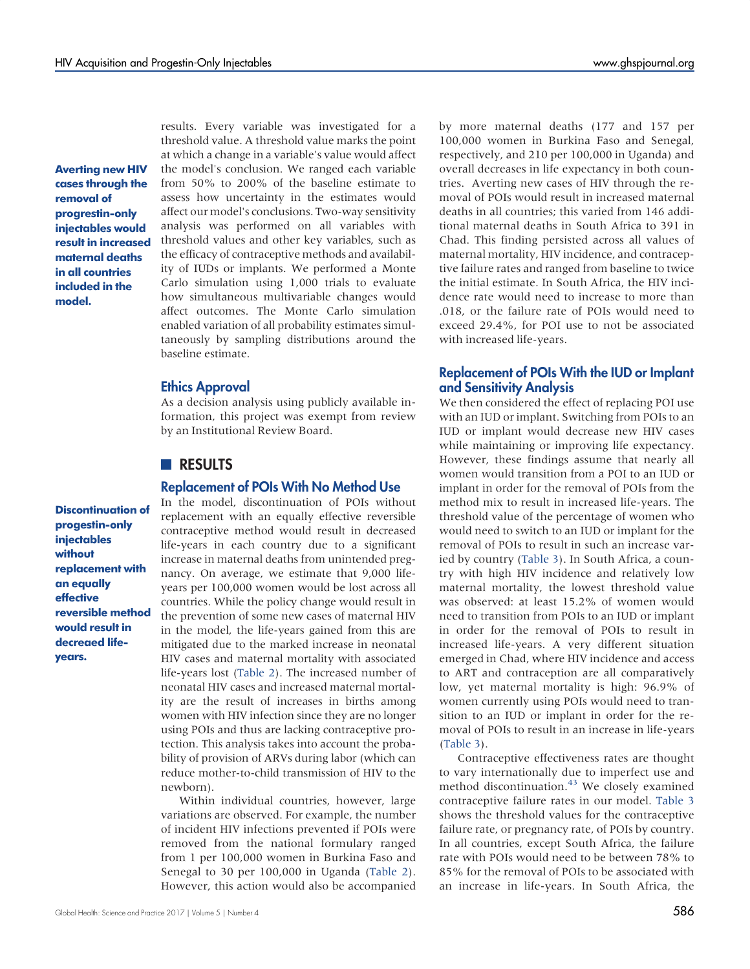Averting new HIV cases through the removal of progrestin-only injectables would result in increased maternal deaths in all countries included in the model.

Discontinuation of progestin-only injectables without

replacement with an equally effective

reversible method would result in decreaed life-

years.

results. Every variable was investigated for a threshold value. A threshold value marks the point at which a change in a variable's value would affect the model's conclusion. We ranged each variable from 50% to 200% of the baseline estimate to assess how uncertainty in the estimates would affect our model's conclusions. Two-way sensitivity analysis was performed on all variables with threshold values and other key variables, such as the efficacy of contraceptive methods and availability of IUDs or implants. We performed a Monte Carlo simulation using 1,000 trials to evaluate how simultaneous multivariable changes would affect outcomes. The Monte Carlo simulation enabled variation of all probability estimates simultaneously by sampling distributions around the baseline estimate.

#### Ethics Approval

As a decision analysis using publicly available information, this project was exempt from review by an Institutional Review Board.

## **RESULTS**

#### Replacement of POIs With No Method Use

In the model, discontinuation of POIs without replacement with an equally effective reversible contraceptive method would result in decreased life-years in each country due to a significant increase in maternal deaths from unintended pregnancy. On average, we estimate that 9,000 lifeyears per 100,000 women would be lost across all countries. While the policy change would result in the prevention of some new cases of maternal HIV in the model, the life-years gained from this are mitigated due to the marked increase in neonatal HIV cases and maternal mortality with associated life-years lost [\(Table 2\)](#page-6-0). The increased number of neonatal HIV cases and increased maternal mortality are the result of increases in births among women with HIV infection since they are no longer using POIs and thus are lacking contraceptive protection. This analysis takes into account the probability of provision of ARVs during labor (which can reduce mother-to-child transmission of HIV to the newborn).

Within individual countries, however, large variations are observed. For example, the number of incident HIV infections prevented if POIs were removed from the national formulary ranged from 1 per 100,000 women in Burkina Faso and Senegal to 30 per 100,000 in Uganda ([Table 2](#page-6-0)). However, this action would also be accompanied by more maternal deaths (177 and 157 per 100,000 women in Burkina Faso and Senegal, respectively, and 210 per 100,000 in Uganda) and overall decreases in life expectancy in both countries. Averting new cases of HIV through the removal of POIs would result in increased maternal deaths in all countries; this varied from 146 additional maternal deaths in South Africa to 391 in Chad. This finding persisted across all values of maternal mortality, HIV incidence, and contraceptive failure rates and ranged from baseline to twice the initial estimate. In South Africa, the HIV incidence rate would need to increase to more than .018, or the failure rate of POIs would need to exceed 29.4%, for POI use to not be associated with increased life-years.

## Replacement of POIs With the IUD or Implant and Sensitivity Analysis

We then considered the effect of replacing POI use with an IUD or implant. Switching from POIs to an IUD or implant would decrease new HIV cases while maintaining or improving life expectancy. However, these findings assume that nearly all women would transition from a POI to an IUD or implant in order for the removal of POIs from the method mix to result in increased life-years. The threshold value of the percentage of women who would need to switch to an IUD or implant for the removal of POIs to result in such an increase varied by country ([Table 3](#page-7-0)). In South Africa, a country with high HIV incidence and relatively low maternal mortality, the lowest threshold value was observed: at least 15.2% of women would need to transition from POIs to an IUD or implant in order for the removal of POIs to result in increased life-years. A very different situation emerged in Chad, where HIV incidence and access to ART and contraception are all comparatively low, yet maternal mortality is high: 96.9% of women currently using POIs would need to transition to an IUD or implant in order for the removal of POIs to result in an increase in life-years [\(Table 3](#page-7-0)).

Contraceptive effectiveness rates are thought to vary internationally due to imperfect use and method discontinuation.<sup>[43](#page-10-16)</sup> We closely examined contraceptive failure rates in our model. [Table 3](#page-7-0) shows the threshold values for the contraceptive failure rate, or pregnancy rate, of POIs by country. In all countries, except South Africa, the failure rate with POIs would need to be between 78% to 85% for the removal of POIs to be associated with an increase in life-years. In South Africa, the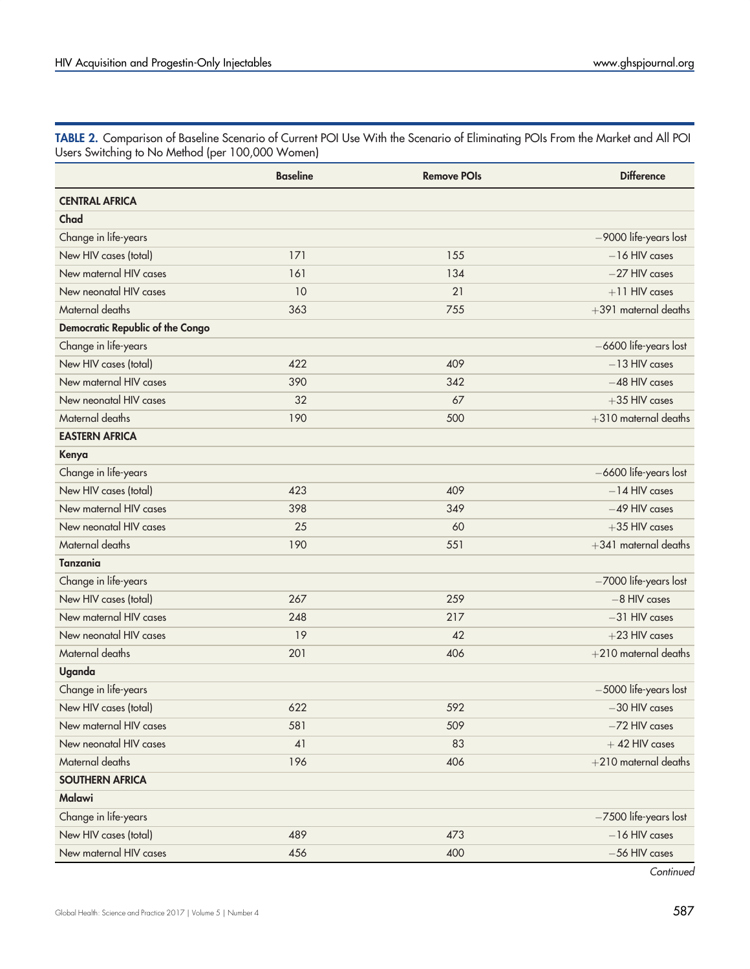|                                         | <b>Baseline</b> | <b>Remove POIs</b> | <b>Difference</b>      |
|-----------------------------------------|-----------------|--------------------|------------------------|
| <b>CENTRAL AFRICA</b>                   |                 |                    |                        |
| Chad                                    |                 |                    |                        |
| Change in life-years                    |                 |                    | -9000 life-years lost  |
| New HIV cases (total)                   | 171             | 155                | $-16$ HIV cases        |
| New maternal HIV cases                  | 161             | 134                | $-27$ HIV cases        |
| New neonatal HIV cases                  | 10              | 21                 | $+11$ HIV cases        |
| Maternal deaths                         | 363             | 755                | $+391$ maternal deaths |
| <b>Democratic Republic of the Congo</b> |                 |                    |                        |
| Change in life-years                    |                 |                    | -6600 life-years lost  |
| New HIV cases (total)                   | 422             | 409                | $-13$ HIV cases        |
| New maternal HIV cases                  | 390             | 342                | $-48$ HIV cases        |
| New neonatal HIV cases                  | 32              | 67                 | $+35$ HIV cases        |
| Maternal deaths                         | 190             | 500                | $+310$ maternal deaths |
| <b>EASTERN AFRICA</b>                   |                 |                    |                        |
| Kenya                                   |                 |                    |                        |
| Change in life-years                    |                 |                    | -6600 life-years lost  |
| New HIV cases (total)                   | 423             | 409                | $-14$ HIV cases        |
| New maternal HIV cases                  | 398             | 349                | $-49$ HIV cases        |
| New neonatal HIV cases                  | 25              | 60                 | $+35$ HIV cases        |
| Maternal deaths                         | 190             | 551                | $+341$ maternal deaths |
| <b>Tanzania</b>                         |                 |                    |                        |
| Change in life-years                    |                 |                    | -7000 life-years lost  |
| New HIV cases (total)                   | 267             | 259                | $-8$ HIV cases         |
| New maternal HIV cases                  | 248             | 217                | $-31$ HIV cases        |
| New neonatal HIV cases                  | 19              | 42                 | $+23$ HIV cases        |
| Maternal deaths                         | 201             | 406                | $+210$ maternal deaths |
| Uganda                                  |                 |                    |                        |
| Change in life-years                    |                 |                    | -5000 life-years lost  |
| New HIV cases (total)                   | 622             | 592                | $-30$ HIV cases        |
| New maternal HIV cases                  | 581             | 509                | $-72$ HIV cases        |
| New neonatal HIV cases                  | 41              | 83                 | $+$ 42 HIV cases       |
| Maternal deaths                         | 196             | 406                | $+210$ maternal deaths |
| <b>SOUTHERN AFRICA</b>                  |                 |                    |                        |
| <b>Malawi</b>                           |                 |                    |                        |
| Change in life-years                    |                 |                    | -7500 life-years lost  |
| New HIV cases (total)                   | 489             | 473                | $-16$ HIV cases        |
| New maternal HIV cases                  | 456             | 400                | $-56$ HIV cases        |

<span id="page-6-0"></span>TABLE 2. Comparison of Baseline Scenario of Current POI Use With the Scenario of Eliminating POIs From the Market and All POI Users Switching to No Method (per 100,000 Women)

**Continued**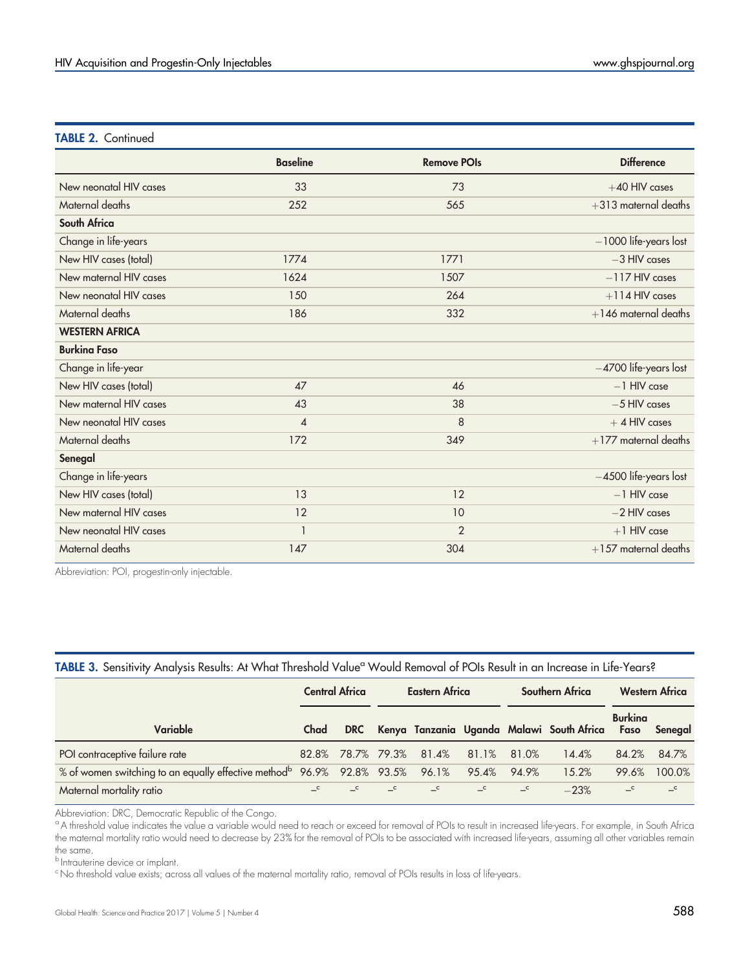## TABLE 2. Continued

|                        | <b>Baseline</b> | <b>Remove POIs</b> | <b>Difference</b>       |
|------------------------|-----------------|--------------------|-------------------------|
| New neonatal HIV cases | 33              | 73                 | $+40$ HIV cases         |
| Maternal deaths        | 252             | 565                | $+313$ maternal deaths  |
| <b>South Africa</b>    |                 |                    |                         |
| Change in life-years   |                 |                    | $-1000$ life-years lost |
| New HIV cases (total)  | 1774            | 1771               | $-3$ HIV cases          |
| New maternal HIV cases | 1624            | 1507               | $-117$ HIV cases        |
| New neonatal HIV cases | 150             | 264                | $+114$ HIV cases        |
| Maternal deaths        | 186             | 332                | $+146$ maternal deaths  |
| <b>WESTERN AFRICA</b>  |                 |                    |                         |
| <b>Burkina Faso</b>    |                 |                    |                         |
| Change in life-year    |                 |                    | $-4700$ life-years lost |
| New HIV cases (total)  | 47              | 46                 | $-1$ HIV case           |
| New maternal HIV cases | 43              | 38                 | $-5$ HIV cases          |
| New neonatal HIV cases | $\overline{4}$  | 8                  | $+$ 4 HIV cases         |
| Maternal deaths        | 172             | 349                | $+177$ maternal deaths  |
| Senegal                |                 |                    |                         |
| Change in life-years   |                 |                    | -4500 life-years lost   |
| New HIV cases (total)  | 13              | 12                 | $-1$ HIV case           |
| New maternal HIV cases | 12              | 10                 | $-2$ HIV cases          |
| New neonatal HIV cases |                 | $\overline{2}$     | $+1$ HIV case           |
| Maternal deaths        | 147             | 304                | $+157$ maternal deaths  |

Abbreviation: POI, progestin-only injectable.

## <span id="page-7-0"></span>TABLE 3. Sensitivity Analysis Results: At What Threshold Value<sup>a</sup> Would Removal of POIs Result in an Increase in Life-Years?

|                                                                                                      | <b>Central Africa</b> |            | <b>Eastern Africa</b> |                               |  | Southern Africa |                                           | <b>Western Africa</b>     |         |
|------------------------------------------------------------------------------------------------------|-----------------------|------------|-----------------------|-------------------------------|--|-----------------|-------------------------------------------|---------------------------|---------|
| Variable                                                                                             | Chad                  | <b>DRC</b> |                       |                               |  |                 | Kenya Tanzania Uganda Malawi South Africa | <b>Burking</b><br>Faso    | Senegal |
| POI contraceptive failure rate                                                                       |                       |            |                       | 82.8% 78.7% 79.3% 81.4% 81.1% |  | 81.0%           | 14.4%                                     | 84.2%                     | 84.7%   |
| % of women switching to an equally effective method <sup>b</sup> 96.9% 92.8% 93.5% 96.1% 95.4% 94.9% |                       |            |                       |                               |  |                 | 15.2%                                     | 99.6%                     | 100.0%  |
| Maternal mortality ratio                                                                             |                       |            |                       |                               |  |                 | $-23%$                                    | $\mathsf{-}^{\mathsf{c}}$ |         |

Abbreviation: DRC, Democratic Republic of the Congo.

<sup>a</sup>A threshold value indicates the value a variable would need to reach or exceed for removal of POIs to result in increased life-years. For example, in South Africa the maternal mortality ratio would need to decrease by 23% for the removal of POIs to be associated with increased life-years, assuming all other variables remain the same.

**b** Intrauterine device or implant.

<sup>c</sup> No threshold value exists; across all values of the maternal mortality ratio, removal of POIs results in loss of life-years.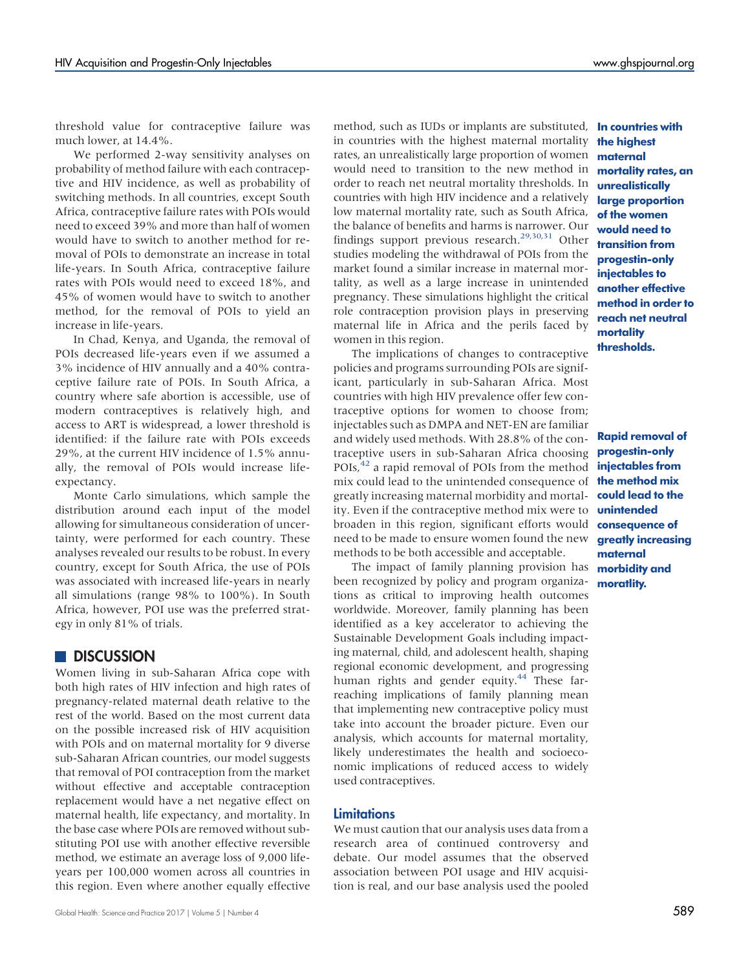threshold value for contraceptive failure was much lower, at 14.4%.

We performed 2-way sensitivity analyses on probability of method failure with each contraceptive and HIV incidence, as well as probability of switching methods. In all countries, except South Africa, contraceptive failure rates with POIs would need to exceed 39% and more than half of women would have to switch to another method for removal of POIs to demonstrate an increase in total life-years. In South Africa, contraceptive failure rates with POIs would need to exceed 18%, and 45% of women would have to switch to another method, for the removal of POIs to yield an increase in life-years.

In Chad, Kenya, and Uganda, the removal of POIs decreased life-years even if we assumed a 3% incidence of HIV annually and a 40% contraceptive failure rate of POIs. In South Africa, a country where safe abortion is accessible, use of modern contraceptives is relatively high, and access to ART is widespread, a lower threshold is identified: if the failure rate with POIs exceeds 29%, at the current HIV incidence of 1.5% annually, the removal of POIs would increase lifeexpectancy.

Monte Carlo simulations, which sample the distribution around each input of the model allowing for simultaneous consideration of uncertainty, were performed for each country. These analyses revealed our results to be robust. In every country, except for South Africa, the use of POIs was associated with increased life-years in nearly all simulations (range 98% to 100%). In South Africa, however, POI use was the preferred strategy in only 81% of trials.

## **DISCUSSION**

Women living in sub-Saharan Africa cope with both high rates of HIV infection and high rates of pregnancy-related maternal death relative to the rest of the world. Based on the most current data on the possible increased risk of HIV acquisition with POIs and on maternal mortality for 9 diverse sub-Saharan African countries, our model suggests that removal of POI contraception from the market without effective and acceptable contraception replacement would have a net negative effect on maternal health, life expectancy, and mortality. In the base case where POIs are removed without substituting POI use with another effective reversible method, we estimate an average loss of 9,000 lifeyears per 100,000 women across all countries in this region. Even where another equally effective

method, such as IUDs or implants are substituted, **In countries with** in countries with the highest maternal mortality rates, an unrealistically large proportion of women would need to transition to the new method in order to reach net neutral mortality thresholds. In countries with high HIV incidence and a relatively low maternal mortality rate, such as South Africa, the balance of benefits and harms is narrower. Our findings support previous research.<sup>[29,](#page-10-3)[30,](#page-10-9)[31](#page-10-4)</sup> Other studies modeling the withdrawal of POIs from the market found a similar increase in maternal mortality, as well as a large increase in unintended pregnancy. These simulations highlight the critical role contraception provision plays in preserving maternal life in Africa and the perils faced by women in this region.

The implications of changes to contraceptive policies and programs surrounding POIs are significant, particularly in sub-Saharan Africa. Most countries with high HIV prevalence offer few contraceptive options for women to choose from; injectables such as DMPA and NET-EN are familiar and widely used methods. With 28.8% of the contraceptive users in sub-Saharan Africa choosing POIs,<sup>[42](#page-10-14)</sup> a rapid removal of POIs from the method mix could lead to the unintended consequence of **the method mix** greatly increasing maternal morbidity and mortality. Even if the contraceptive method mix were to broaden in this region, significant efforts would need to be made to ensure women found the new methods to be both accessible and acceptable.

The impact of family planning provision has been recognized by policy and program organizations as critical to improving health outcomes worldwide. Moreover, family planning has been identified as a key accelerator to achieving the Sustainable Development Goals including impacting maternal, child, and adolescent health, shaping regional economic development, and progressing human rights and gender equity.<sup>44</sup> These farreaching implications of family planning mean that implementing new contraceptive policy must take into account the broader picture. Even our analysis, which accounts for maternal mortality, likely underestimates the health and socioeconomic implications of reduced access to widely used contraceptives.

## **Limitations**

We must caution that our analysis uses data from a research area of continued controversy and debate. Our model assumes that the observed association between POI usage and HIV acquisition is real, and our base analysis used the pooled

the highest maternal mortality rates, an unrealistically large proportion of the women would need to transition from progestin-only injectables to another effective method in order to reach net neutral mortality thresholds.

Rapid removal of progestin-only injectables from could lead to the unintended consequence of greatly increasing maternal morbidity and moratlity.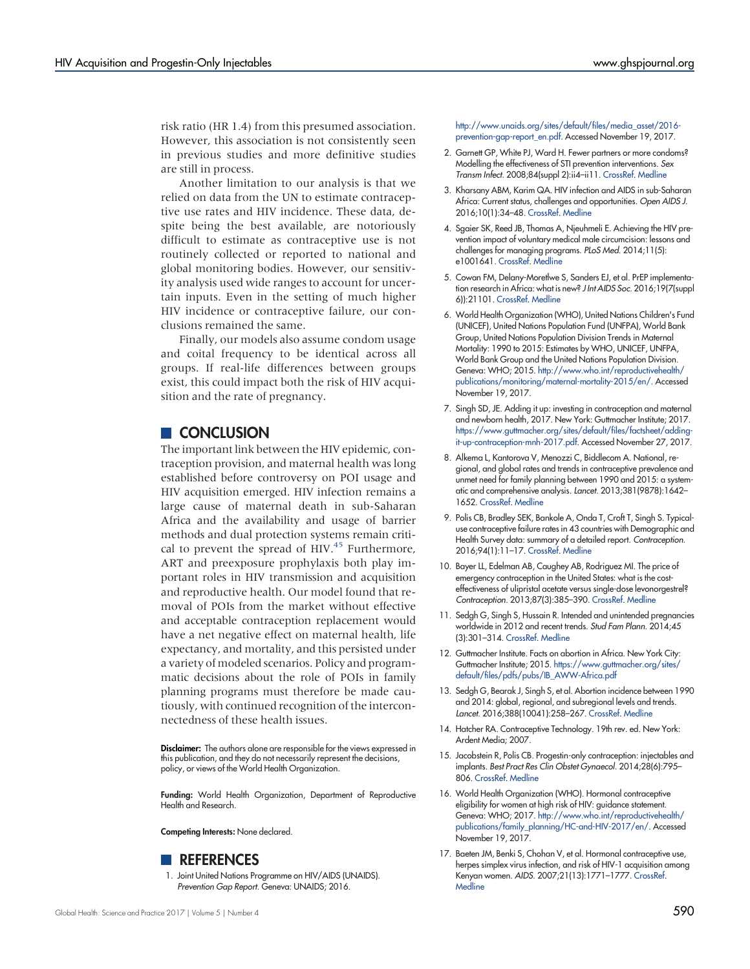risk ratio (HR 1.4) from this presumed association. However, this association is not consistently seen in previous studies and more definitive studies are still in process.

Another limitation to our analysis is that we relied on data from the UN to estimate contraceptive use rates and HIV incidence. These data, despite being the best available, are notoriously difficult to estimate as contraceptive use is not routinely collected or reported to national and global monitoring bodies. However, our sensitivity analysis used wide ranges to account for uncertain inputs. Even in the setting of much higher HIV incidence or contraceptive failure, our conclusions remained the same.

Finally, our models also assume condom usage and coital frequency to be identical across all groups. If real-life differences between groups exist, this could impact both the risk of HIV acquisition and the rate of pregnancy.

## **CONCLUSION**

The important link between the HIV epidemic, contraception provision, and maternal health was long established before controversy on POI usage and HIV acquisition emerged. HIV infection remains a large cause of maternal death in sub-Saharan Africa and the availability and usage of barrier methods and dual protection systems remain critical to prevent the spread of  $HIV.<sup>45</sup>$  Furthermore, ART and preexposure prophylaxis both play important roles in HIV transmission and acquisition and reproductive health. Our model found that removal of POIs from the market without effective and acceptable contraception replacement would have a net negative effect on maternal health, life expectancy, and mortality, and this persisted under a variety of modeled scenarios. Policy and programmatic decisions about the role of POIs in family planning programs must therefore be made cautiously, with continued recognition of the interconnectedness of these health issues.

Disclaimer: The authors alone are responsible for the views expressed in this publication, and they do not necessarily represent the decisions, policy, or views of the World Health Organization.

Funding: World Health Organization, Department of Reproductive Health and Research.

Competing Interests: None declared.



<span id="page-9-0"></span>1. Joint United Nations Programme on HIV/AIDS (UNAIDS). Prevention Gap Report. Geneva: UNAIDS; 2016.

[http://www.unaids.org/sites/default/files/media\\_asset/2016](http://www.unaids.org/sites/default/files/media_asset/2016-prevention-gap-report_en.pdf) [prevention-gap-report\\_en.pdf.](http://www.unaids.org/sites/default/files/media_asset/2016-prevention-gap-report_en.pdf) Accessed November 19, 2017.

- <span id="page-9-1"></span>2. Garnett GP, White PJ, Ward H. Fewer partners or more condoms? Modelling the effectiveness of STI prevention interventions. Sex Transm Infect. 2008;84(suppl 2):ii4–ii11. [CrossRef](https://doi.org/10.1136/sti.2008.029850). [Medline](http://www.ncbi.nlm.nih.gov/pubmed/18799491)
- 3. Kharsany ABM, Karim QA. HIV infection and AIDS in sub-Saharan Africa: Current status, challenges and opportunities. Open AIDS J. 2016;10(1):34–48. [CrossRef](https://doi.org/10.2174/1874613601610010034). [Medline](http://www.ncbi.nlm.nih.gov/pubmed/27347270)
- 4. Sgaier SK, Reed JB, Thomas A, Njeuhmeli E. Achieving the HIV prevention impact of voluntary medical male circumcision: lessons and challenges for managing programs. PLoS Med. 2014;11(5): e1001641. [CrossRef](https://doi.org/doi:10.1371/journal.pmed.1001641). [Medline](http://www.ncbi.nlm.nih.gov/pubmed/24800840)
- <span id="page-9-2"></span>5. Cowan FM, Delany-Moretlwe S, Sanders EJ, et al. PrEP implementation research in Africa: what is new? J Int AIDS Soc. 2016;19(7(suppl 6)):21101. [CrossRef.](https://doi.org/doi:10.7448/IAS.19.7.21101) [Medline](http://www.ncbi.nlm.nih.gov/pubmed/27760680)
- <span id="page-9-3"></span>6. World Health Organization (WHO), United Nations Children's Fund (UNICEF), United Nations Population Fund (UNFPA), World Bank Group, United Nations Population Division Trends in Maternal Mortality: 1990 to 2015: Estimates by WHO, UNICEF, UNFPA, World Bank Group and the United Nations Population Division. Geneva: WHO; 2015. [http://www.who.int/reproductivehealth/](http://www.who.int/reproductivehealth/publications/monitoring/maternal-mortality-2015/en/) [publications/monitoring/maternal-mortality-2015/en/.](http://www.who.int/reproductivehealth/publications/monitoring/maternal-mortality-2015/en/) Accessed November 19, 2017.
- <span id="page-9-4"></span>7. Singh SD, JE. Adding it up: investing in contraception and maternal and newborn health, 2017. New York: Guttmacher Institute; 2017. [https://www.guttmacher.org/sites/default/files/factsheet/adding](https://www.guttmacher.org/sites/default/files/factsheet/adding-it-up-contraception-mnh-2017.pdf)[it-up-contraception-mnh-2017.pdf](https://www.guttmacher.org/sites/default/files/factsheet/adding-it-up-contraception-mnh-2017.pdf). Accessed November 27, 2017.
- <span id="page-9-5"></span>8. Alkema L, Kantorova V, Menozzi C, Biddlecom A. National, regional, and global rates and trends in contraceptive prevalence and unmet need for family planning between 1990 and 2015: a systematic and comprehensive analysis. Lancet. 2013;381(9878):1642– 1652. [CrossRef.](https://doi.org/doi:10.1016/S0140-6736(12)62204-1) [Medline](http://www.ncbi.nlm.nih.gov/pubmed/23489750)
- <span id="page-9-6"></span>9. Polis CB, Bradley SEK, Bankole A, Onda T, Croft T, Singh S. Typicaluse contraceptive failure rates in 43 countries with Demographic and Health Survey data: summary of a detailed report. Contraception. 2016;94(1):11–17. [CrossRef](https://doi.org/10.1016/j.contraception.2016.03.011). [Medline](http://www.ncbi.nlm.nih.gov/pubmed/27018154)
- <span id="page-9-7"></span>10. Bayer LL, Edelman AB, Caughey AB, Rodriguez MI. The price of emergency contraception in the United States: what is the costeffectiveness of ulipristal acetate versus single-dose levonorgestrel? Contraception. 2013;87(3):385–390. [CrossRef.](https://doi.org/doi:10.1016/j.contraception.2012.08.034) [Medline](http://www.ncbi.nlm.nih.gov/pubmed/23040122)
- <span id="page-9-8"></span>11. Sedgh G, Singh S, Hussain R. Intended and unintended pregnancies worldwide in 2012 and recent trends. Stud Fam Plann. 2014;45 (3):301–314. [CrossRef](https://doi.org/doi:10.1111/j.1728-4465.2014.00393.x). [Medline](http://www.ncbi.nlm.nih.gov/pubmed/25207494)
- <span id="page-9-9"></span>12. Guttmacher Institute. Facts on abortion in Africa. New York City: Guttmacher Institute; 2015. [https://www.guttmacher.org/sites/](https://www.guttmacher.org/sites/default/files/pdfs/pubs/IB_AWW-Africa.pdf) [default/files/pdfs/pubs/IB\\_AWW-Africa.pdf](https://www.guttmacher.org/sites/default/files/pdfs/pubs/IB_AWW-Africa.pdf)
- <span id="page-9-10"></span>13. Sedgh G, Bearak J, Singh S, et al. Abortion incidence between 1990 and 2014: global, regional, and subregional levels and trends. Lancet. 2016;388(10041):258–267. [CrossRef.](https://doi.org/10.1016/S0140-6736(16)30380-4) [Medline](http://www.ncbi.nlm.nih.gov/pubmed/27179755)
- <span id="page-9-11"></span>14. Hatcher RA. Contraceptive Technology. 19th rev. ed. New York: Ardent Media; 2007.
- <span id="page-9-12"></span>15. Jacobstein R, Polis CB. Progestin-only contraception: injectables and implants. Best Pract Res Clin Obstet Gynaecol. 2014;28(6):795– 806. [CrossRef.](https://doi.org/10.1016/j.bpobgyn.2014.05.003) [Medline](http://www.ncbi.nlm.nih.gov/pubmed/24996766)
- <span id="page-9-13"></span>16. World Health Organization (WHO). Hormonal contraceptive eligibility for women at high risk of HIV: guidance statement. Geneva: WHO; 2017. [http://www.who.int/reproductivehealth/](http://www.who.int/reproductivehealth/publications/family_planning/HC-and-HIV-2017/en/) [publications/family\\_planning/HC-and-HIV-2017/en/.](http://www.who.int/reproductivehealth/publications/family_planning/HC-and-HIV-2017/en/) Accessed November 19, 2017.
- <span id="page-9-14"></span>17. Baeten JM, Benki S, Chohan V, et al. Hormonal contraceptive use, herpes simplex virus infection, and risk of HIV-1 acquisition among Kenyan women. AIDS. 2007;21(13):1771–1777. [CrossRef.](https://doi.org/10.1097/QAD.0b013e328270388a) **[Medline](http://www.ncbi.nlm.nih.gov/pubmed/17690576)**